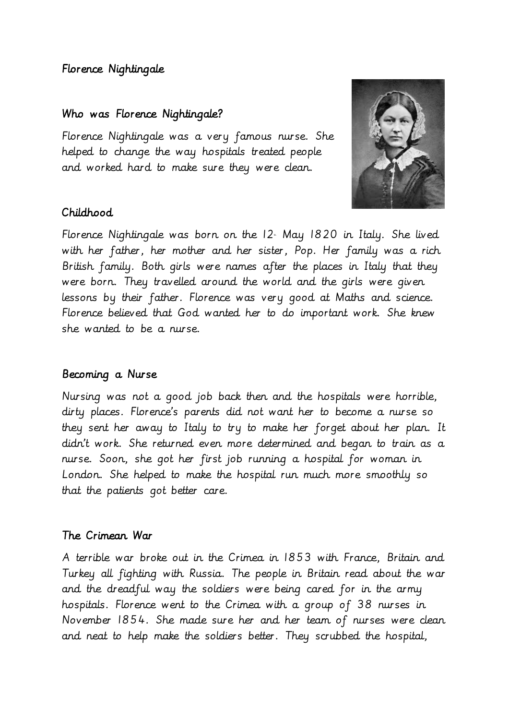# Florence Nightingale

### Who was Florence Nightingale?

Florence Nightingale was a very famous nurse. She helped to change the way hospitals treated people and worked hard to make sure they were clean.



## Childhood

Florence Nightingale was born on the  $12$  May 1820 in Italy. She lived with her father, her mother and her sister, Pop. Her family was a rich British family. Both girls were names after the places in Italy that they were born. They travelled around the world and the girls were given lessons by their father. Florence was very good at Maths and science. Florence believed that God wanted her to do important work. She knew she wanted to be a nurse.

## Becoming a Nurse

Nursing was not a good job back then and the hospitals were horrible, dirty places. Florence's parents did not want her to become a nurse so they sent her away to Italy to try to make her forget about her plan. It didn't work. She returned even more determined and began to train as a nurse. Soon, she got her first job running a hospital for woman in London. She helped to make the hospital run much more smoothly so that the patients got better care.

## The Crimean War

A terrible war broke out in the Crimea in 1853 with France, Britain and Turkey all fighting with Russia. The people in Britain read about the war and the dreadful way the soldiers were being cared for in the army hospitals. Florence went to the Crimea with a group of 38 nurses in November 1854. She made sure her and her team of nurses were clean and neat to help make the soldiers better. They scrubbed the hospital,